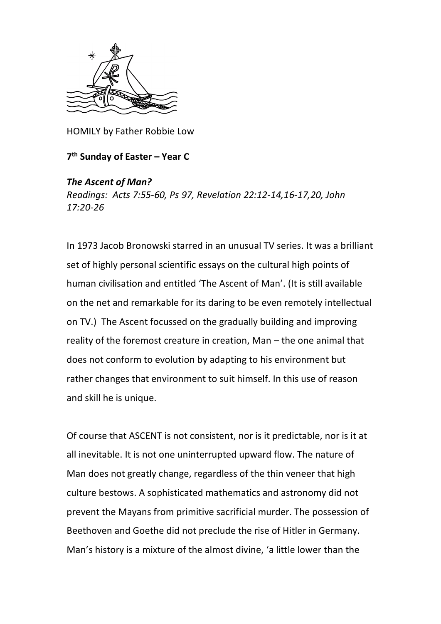

HOMILY by Father Robbie Low

**7 th Sunday of Easter – Year C**

## *The Ascent of Man?*

*Readings: Acts 7:55-60, Ps 97, Revelation 22:12-14,16-17,20, John 17:20-26*

In 1973 Jacob Bronowski starred in an unusual TV series. It was a brilliant set of highly personal scientific essays on the cultural high points of human civilisation and entitled 'The Ascent of Man'. (It is still available on the net and remarkable for its daring to be even remotely intellectual on TV.) The Ascent focussed on the gradually building and improving reality of the foremost creature in creation, Man – the one animal that does not conform to evolution by adapting to his environment but rather changes that environment to suit himself. In this use of reason and skill he is unique.

Of course that ASCENT is not consistent, nor is it predictable, nor is it at all inevitable. It is not one uninterrupted upward flow. The nature of Man does not greatly change, regardless of the thin veneer that high culture bestows. A sophisticated mathematics and astronomy did not prevent the Mayans from primitive sacrificial murder. The possession of Beethoven and Goethe did not preclude the rise of Hitler in Germany. Man's history is a mixture of the almost divine, 'a little lower than the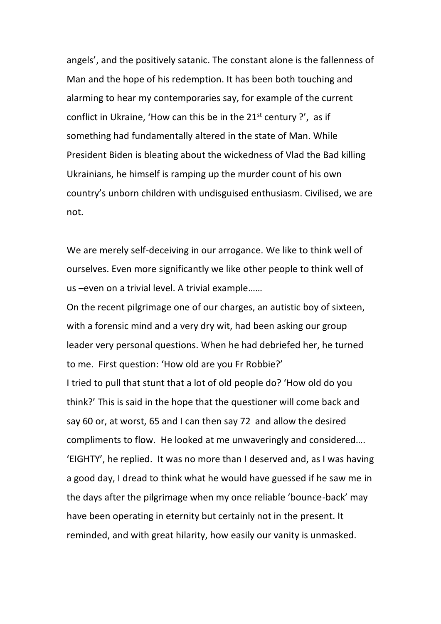angels', and the positively satanic. The constant alone is the fallenness of Man and the hope of his redemption. It has been both touching and alarming to hear my contemporaries say, for example of the current conflict in Ukraine, 'How can this be in the  $21<sup>st</sup>$  century ?', as if something had fundamentally altered in the state of Man. While President Biden is bleating about the wickedness of Vlad the Bad killing Ukrainians, he himself is ramping up the murder count of his own country's unborn children with undisguised enthusiasm. Civilised, we are not.

We are merely self-deceiving in our arrogance. We like to think well of ourselves. Even more significantly we like other people to think well of us –even on a trivial level. A trivial example……

On the recent pilgrimage one of our charges, an autistic boy of sixteen, with a forensic mind and a very dry wit, had been asking our group leader very personal questions. When he had debriefed her, he turned to me. First question: 'How old are you Fr Robbie?' I tried to pull that stunt that a lot of old people do? 'How old do you think?' This is said in the hope that the questioner will come back and say 60 or, at worst, 65 and I can then say 72 and allow the desired compliments to flow. He looked at me unwaveringly and considered…. 'EIGHTY', he replied. It was no more than I deserved and, as I was having a good day, I dread to think what he would have guessed if he saw me in the days after the pilgrimage when my once reliable 'bounce-back' may have been operating in eternity but certainly not in the present. It reminded, and with great hilarity, how easily our vanity is unmasked.